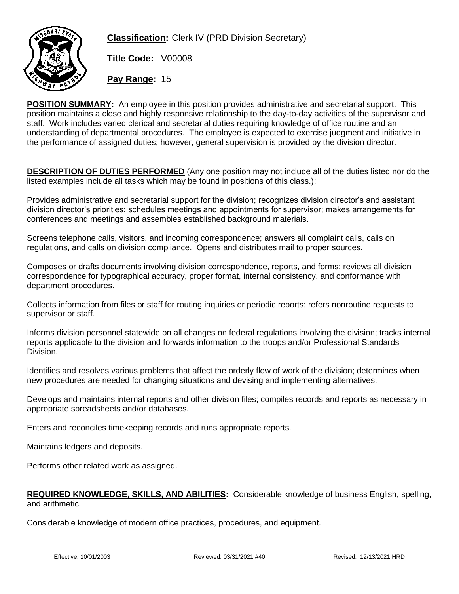

**Classification:** Clerk IV (PRD Division Secretary)

**Title Code:** V00008

**Pay Range:** 15

**POSITION SUMMARY:** An employee in this position provides administrative and secretarial support. This position maintains a close and highly responsive relationship to the day-to-day activities of the supervisor and staff. Work includes varied clerical and secretarial duties requiring knowledge of office routine and an understanding of departmental procedures. The employee is expected to exercise judgment and initiative in the performance of assigned duties; however, general supervision is provided by the division director.

**DESCRIPTION OF DUTIES PERFORMED** (Any one position may not include all of the duties listed nor do the listed examples include all tasks which may be found in positions of this class.):

Provides administrative and secretarial support for the division; recognizes division director's and assistant division director's priorities; schedules meetings and appointments for supervisor; makes arrangements for conferences and meetings and assembles established background materials.

Screens telephone calls, visitors, and incoming correspondence; answers all complaint calls, calls on regulations, and calls on division compliance. Opens and distributes mail to proper sources.

Composes or drafts documents involving division correspondence, reports, and forms; reviews all division correspondence for typographical accuracy, proper format, internal consistency, and conformance with department procedures.

Collects information from files or staff for routing inquiries or periodic reports; refers nonroutine requests to supervisor or staff.

Informs division personnel statewide on all changes on federal regulations involving the division; tracks internal reports applicable to the division and forwards information to the troops and/or Professional Standards Division.

Identifies and resolves various problems that affect the orderly flow of work of the division; determines when new procedures are needed for changing situations and devising and implementing alternatives.

Develops and maintains internal reports and other division files; compiles records and reports as necessary in appropriate spreadsheets and/or databases.

Enters and reconciles timekeeping records and runs appropriate reports.

Maintains ledgers and deposits.

Performs other related work as assigned.

## **REQUIRED KNOWLEDGE, SKILLS, AND ABILITIES:** Considerable knowledge of business English, spelling, and arithmetic.

Considerable knowledge of modern office practices, procedures, and equipment.